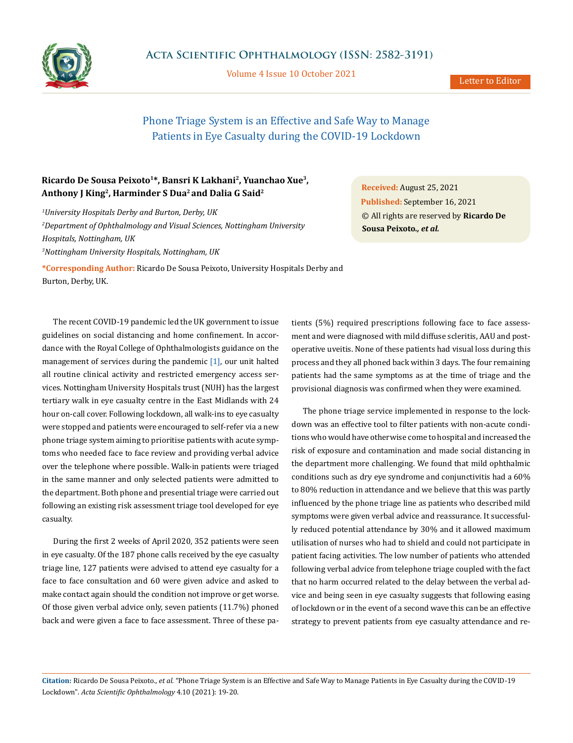

Volume 4 Issue 10 October 2021

## Phone Triage System is an Effective and Safe Way to Manage Patients in Eye Casualty during the COVID-19 Lockdown

## **Ricardo De Sousa Peixoto1\*, Bansri K Lakhani2, Yuanchao Xue3, Anthony J King2, Harminder S Dua2 and Dalia G Said2**

*1 University Hospitals Derby and Burton, Derby, UK*

*2 Department of Ophthalmology and Visual Sciences, Nottingham University Hospitals, Nottingham, UK 3 Nottingham University Hospitals, Nottingham, UK* 

**\*Corresponding Author:** Ricardo De Sousa Peixoto, University Hospitals Derby and Burton, Derby, UK.

The recent COVID-19 pandemic led the UK government to issue guidelines on social distancing and home confinement. In accordance with the Royal College of Ophthalmologists guidance on the management of services during the pandemic  $[1]$ , our unit halted all routine clinical activity and restricted emergency access services. Nottingham University Hospitals trust (NUH) has the largest tertiary walk in eye casualty centre in the East Midlands with 24 hour on-call cover. Following lockdown, all walk-ins to eye casualty were stopped and patients were encouraged to self-refer via a new phone triage system aiming to prioritise patients with acute symptoms who needed face to face review and providing verbal advice over the telephone where possible. Walk-in patients were triaged in the same manner and only selected patients were admitted to the department. Both phone and presential triage were carried out following an existing risk assessment triage tool developed for eye casualty.

During the first 2 weeks of April 2020, 352 patients were seen in eye casualty. Of the 187 phone calls received by the eye casualty triage line, 127 patients were advised to attend eye casualty for a face to face consultation and 60 were given advice and asked to make contact again should the condition not improve or get worse. Of those given verbal advice only, seven patients (11.7%) phoned back and were given a face to face assessment. Three of these pa-

**Received:** August 25, 2021 **Published:** September 16, 2021 © All rights are reserved by **Ricardo De Sousa Peixoto***., et al.*

tients (5%) required prescriptions following face to face assessment and were diagnosed with mild diffuse scleritis, AAU and postoperative uveitis. None of these patients had visual loss during this process and they all phoned back within 3 days. The four remaining patients had the same symptoms as at the time of triage and the provisional diagnosis was confirmed when they were examined.

The phone triage service implemented in response to the lockdown was an effective tool to filter patients with non-acute conditions who would have otherwise come to hospital and increased the risk of exposure and contamination and made social distancing in the department more challenging. We found that mild ophthalmic conditions such as dry eye syndrome and conjunctivitis had a 60% to 80% reduction in attendance and we believe that this was partly influenced by the phone triage line as patients who described mild symptoms were given verbal advice and reassurance. It successfully reduced potential attendance by 30% and it allowed maximum utilisation of nurses who had to shield and could not participate in patient facing activities. The low number of patients who attended following verbal advice from telephone triage coupled with the fact that no harm occurred related to the delay between the verbal advice and being seen in eye casualty suggests that following easing of lockdown or in the event of a second wave this can be an effective strategy to prevent patients from eye casualty attendance and re-

**Citation:** Ricardo De Sousa Peixoto*., et al.* "Phone Triage System is an Effective and Safe Way to Manage Patients in Eye Casualty during the COVID-19 Lockdown". *Acta Scientific Ophthalmology* 4.10 (2021): 19-20.